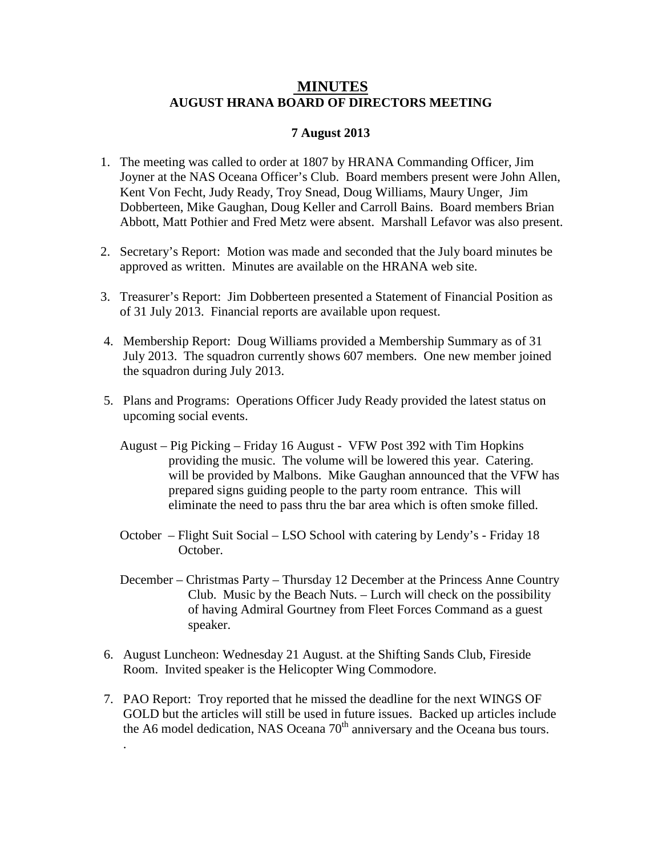## **MINUTES AUGUST HRANA BOARD OF DIRECTORS MEETING**

## **7 August 2013**

- 1. The meeting was called to order at 1807 by HRANA Commanding Officer, Jim Joyner at the NAS Oceana Officer's Club. Board members present were John Allen, Kent Von Fecht, Judy Ready, Troy Snead, Doug Williams, Maury Unger, Jim Dobberteen, Mike Gaughan, Doug Keller and Carroll Bains. Board members Brian Abbott, Matt Pothier and Fred Metz were absent. Marshall Lefavor was also present.
- 2. Secretary's Report: Motion was made and seconded that the July board minutes be approved as written. Minutes are available on the HRANA web site.
- 3. Treasurer's Report: Jim Dobberteen presented a Statement of Financial Position as of 31 July 2013. Financial reports are available upon request.
- 4. Membership Report: Doug Williams provided a Membership Summary as of 31 July 2013. The squadron currently shows 607 members. One new member joined the squadron during July 2013.
- 5. Plans and Programs: Operations Officer Judy Ready provided the latest status on upcoming social events.
	- August Pig Picking Friday 16 August VFW Post 392 with Tim Hopkins providing the music. The volume will be lowered this year. Catering. will be provided by Malbons. Mike Gaughan announced that the VFW has prepared signs guiding people to the party room entrance. This will eliminate the need to pass thru the bar area which is often smoke filled.
	- October Flight Suit Social LSO School with catering by Lendy's Friday 18 October.
	- December Christmas Party Thursday 12 December at the Princess Anne Country Club. Music by the Beach Nuts. – Lurch will check on the possibility of having Admiral Gourtney from Fleet Forces Command as a guest speaker.
- 6. August Luncheon: Wednesday 21 August. at the Shifting Sands Club, Fireside Room. Invited speaker is the Helicopter Wing Commodore.

.

7. PAO Report: Troy reported that he missed the deadline for the next WINGS OF GOLD but the articles will still be used in future issues. Backed up articles include the A6 model dedication, NAS Oceana 70<sup>th</sup> anniversary and the Oceana bus tours.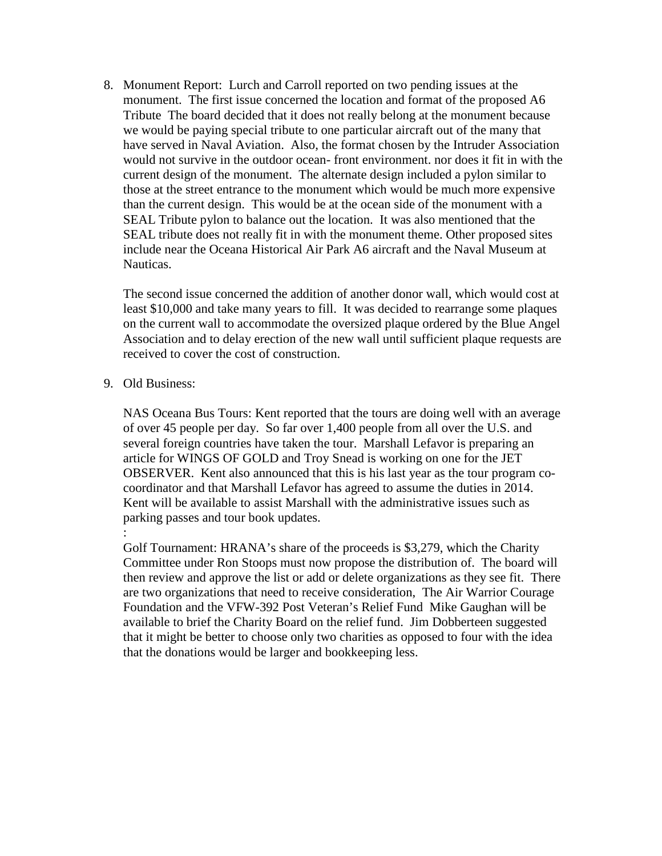8. Monument Report: Lurch and Carroll reported on two pending issues at the monument. The first issue concerned the location and format of the proposed A6 Tribute The board decided that it does not really belong at the monument because we would be paying special tribute to one particular aircraft out of the many that have served in Naval Aviation. Also, the format chosen by the Intruder Association would not survive in the outdoor ocean- front environment. nor does it fit in with the current design of the monument. The alternate design included a pylon similar to those at the street entrance to the monument which would be much more expensive than the current design. This would be at the ocean side of the monument with a SEAL Tribute pylon to balance out the location. It was also mentioned that the SEAL tribute does not really fit in with the monument theme. Other proposed sites include near the Oceana Historical Air Park A6 aircraft and the Naval Museum at Nauticas.

The second issue concerned the addition of another donor wall, which would cost at least \$10,000 and take many years to fill. It was decided to rearrange some plaques on the current wall to accommodate the oversized plaque ordered by the Blue Angel Association and to delay erection of the new wall until sufficient plaque requests are received to cover the cost of construction.

## 9. Old Business:

:

NAS Oceana Bus Tours: Kent reported that the tours are doing well with an average of over 45 people per day. So far over 1,400 people from all over the U.S. and several foreign countries have taken the tour. Marshall Lefavor is preparing an article for WINGS OF GOLD and Troy Snead is working on one for the JET OBSERVER. Kent also announced that this is his last year as the tour program cocoordinator and that Marshall Lefavor has agreed to assume the duties in 2014. Kent will be available to assist Marshall with the administrative issues such as parking passes and tour book updates.

Golf Tournament: HRANA's share of the proceeds is \$3,279, which the Charity Committee under Ron Stoops must now propose the distribution of. The board will then review and approve the list or add or delete organizations as they see fit. There are two organizations that need to receive consideration, The Air Warrior Courage Foundation and the VFW-392 Post Veteran's Relief Fund Mike Gaughan will be available to brief the Charity Board on the relief fund. Jim Dobberteen suggested that it might be better to choose only two charities as opposed to four with the idea that the donations would be larger and bookkeeping less.